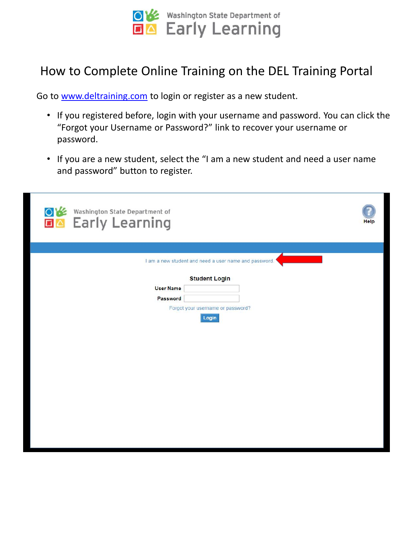

### How to Complete Online Training on the DEL Training Portal

Go to [www.deltraining.com](http://www.deltraining.com/) to login or register as a new student.

- If you registered before, login with your username and password. You can click the "Forgot your Username or Password?" link to recover your username or password.
- If you are a new student, select the "I am a new student and need a user name and password" button to register.

| Washington State Department of<br>$\circ$<br><b>Early Learning</b><br>$\Box$ $\triangle$ | <b>Help</b> |
|------------------------------------------------------------------------------------------|-------------|
|                                                                                          |             |
| I am a new student and need a user name and password.                                    |             |
| <b>Student Login</b>                                                                     |             |
| <b>User Name</b><br>Password                                                             |             |
| Forgot your username or password?                                                        |             |
| Login                                                                                    |             |
|                                                                                          |             |
|                                                                                          |             |
|                                                                                          |             |
|                                                                                          |             |
|                                                                                          |             |
|                                                                                          |             |
|                                                                                          |             |
|                                                                                          |             |
|                                                                                          |             |
|                                                                                          |             |
|                                                                                          |             |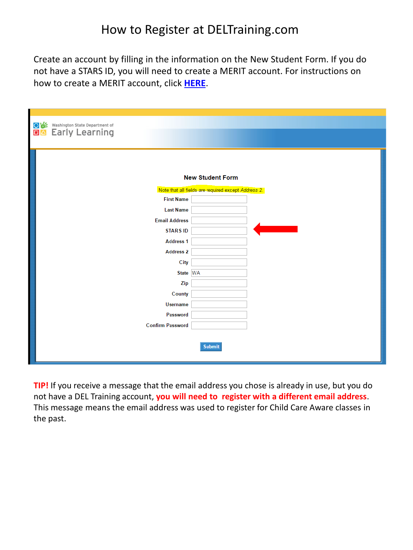### How to Register at DELTraining.com

Create an account by filling in the information on the New Student Form. If you do not have a STARS ID, you will need to create a MERIT account. For instructions on how to create a MERIT account, click **[HERE](https://del.wa.gov/sites/default/files/public/ProfessionalDevelopment/STARS ID 2017.pdf)**.

| Washington State Department of<br>O1终<br>ロ△<br>Early Learning |                                                     |
|---------------------------------------------------------------|-----------------------------------------------------|
|                                                               | <b>New Student Form</b>                             |
| <b>First Name</b>                                             | Note that all fields are required except Address 2. |
| <b>Last Name</b>                                              |                                                     |
| <b>Email Address</b>                                          |                                                     |
| <b>STARS ID</b>                                               |                                                     |
| <b>Address 1</b>                                              |                                                     |
| <b>Address 2</b>                                              |                                                     |
| City                                                          |                                                     |
| State WA                                                      |                                                     |
| Zip                                                           |                                                     |
| County                                                        |                                                     |
| <b>Username</b>                                               |                                                     |
| Password                                                      |                                                     |
| <b>Confirm Password</b>                                       |                                                     |
|                                                               | <b>Submit</b>                                       |

**TIP!** If you receive a message that the email address you chose is already in use, but you do not have a DEL Training account, **you will need to register with a different email address**. This message means the email address was used to register for Child Care Aware classes in the past.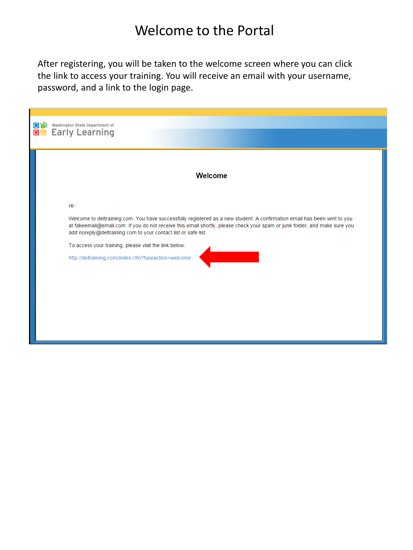# Welcome to the Portal

the link to access your training. You will receive an email with your username,  $\frac{1}{2}$ password, and a link to the login page. After registering, you will be taken to the welcome screen where you can click

| Washington State Department of<br>ov:<br><b>DA</b> Early Learning                                                                                                                                                                                                                                                                                                                                                                                           |  |
|-------------------------------------------------------------------------------------------------------------------------------------------------------------------------------------------------------------------------------------------------------------------------------------------------------------------------------------------------------------------------------------------------------------------------------------------------------------|--|
| Welcome                                                                                                                                                                                                                                                                                                                                                                                                                                                     |  |
| Hi <sup>r</sup><br>Welcome to deltraining.com. You have successfully registered as a new student. A confirmation email has been sent to you<br>at fakeemail@email.com. If you do not receive this email shortly, please check your spam or junk folder, and make sure you<br>add noreply@deltraining.com to your contact list or safe list.<br>To access your training, please visit the link below:<br>http://deltraining.com/index.cfm?fuseaction=welcome |  |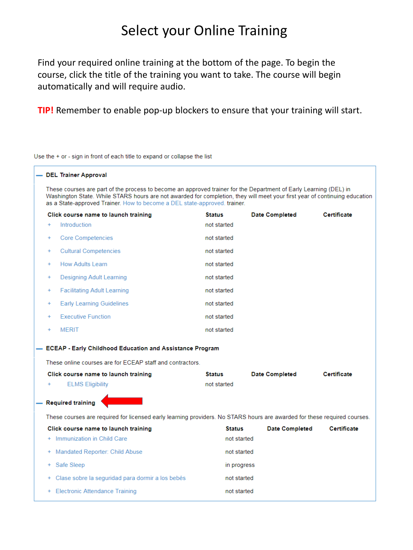## Select your Online Training

Find your required online training at the bottom of the page. To begin the course, click the title of the training you want to take. The course will begin automatically and will require audio.

**TIP!** Remember to enable pop-up blockers to ensure that your training will start.

Use the + or - sign in front of each title to expand or collapse the list

#### - DEL Trainer Approval

These courses are part of the process to become an approved trainer for the Department of Early Learning (DEL) in Washington State. While STARS hours are not awarded for completion, they will meet your first year of continuing education as a State-approved Trainer. How to become a DEL state-approved. trainer.

|     | Click course name to launch training | <b>Status</b> | <b>Date Completed</b> | <b>Certificate</b> |  |
|-----|--------------------------------------|---------------|-----------------------|--------------------|--|
| $+$ | Introduction                         | not started   |                       |                    |  |
| $+$ | <b>Core Competencies</b>             | not started   |                       |                    |  |
| $+$ | <b>Cultural Competencies</b>         | not started   |                       |                    |  |
| $+$ | <b>How Adults Learn</b>              | not started   |                       |                    |  |
| $+$ | Designing Adult Learning             | not started   |                       |                    |  |
| $+$ | <b>Facilitating Adult Learning</b>   | not started   |                       |                    |  |
| $+$ | <b>Early Learning Guidelines</b>     | not started   |                       |                    |  |
| $+$ | <b>Executive Function</b>            | not started   |                       |                    |  |
| $+$ | <b>MERIT</b>                         | not started   |                       |                    |  |

#### - ECEAP - Early Childhood Education and Assistance Program

These online courses are for ECEAP staff and contractors.

| Click course name to launch training | <b>Status</b> | <b>Date Completed</b> | Certificate |
|--------------------------------------|---------------|-----------------------|-------------|
| <b>ELMS Eligibility</b>              | not started   |                       |             |
| - Required training                  |               |                       |             |

These courses are required for licensed early learning providers. No STARS hours are awarded for these required courses.

| Click course name to launch training               | <b>Status</b> | <b>Date Completed</b> | Certificate |
|----------------------------------------------------|---------------|-----------------------|-------------|
| + Immunization in Child Care                       | not started   |                       |             |
| + Mandated Reporter: Child Abuse                   | not started   |                       |             |
| + Safe Sleep                                       | in progress   |                       |             |
| + Clase sobre la seguridad para dormir a los bebés | not started   |                       |             |
| + Electronic Attendance Training                   | not started   |                       |             |